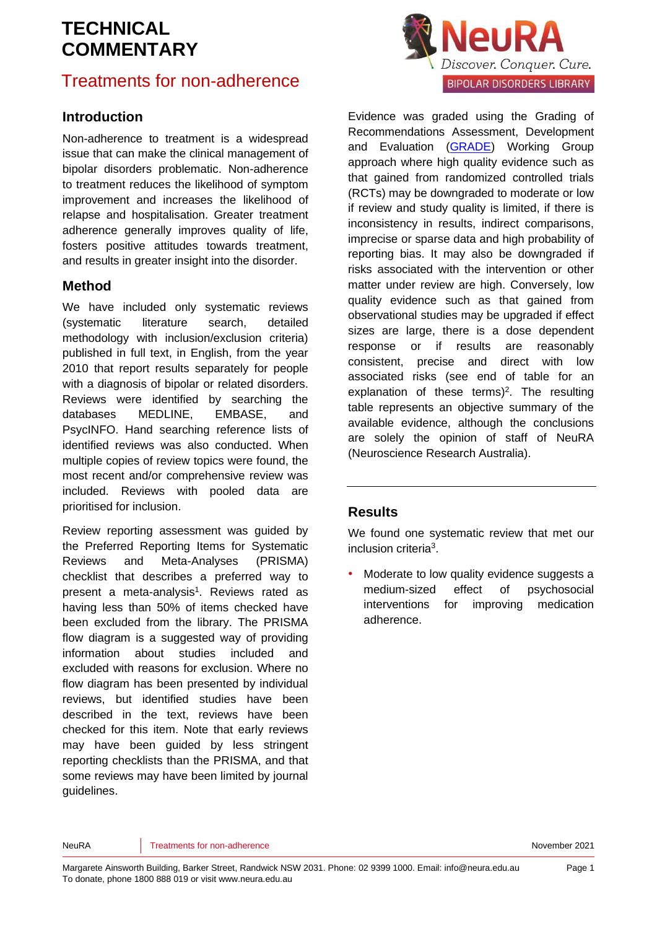### Treatments for non-adherence

#### **Introduction**

Non-adherence to treatment is a widespread issue that can make the clinical management of bipolar disorders problematic. Non-adherence to treatment reduces the likelihood of symptom improvement and increases the likelihood of relapse and hospitalisation. Greater treatment adherence generally improves quality of life, fosters positive attitudes towards treatment, and results in greater insight into the disorder.

#### **Method**

We have included only systematic reviews (systematic literature search, detailed methodology with inclusion/exclusion criteria) published in full text, in English, from the year 2010 that report results separately for people with a diagnosis of bipolar or related disorders. Reviews were identified by searching the databases MEDLINE, EMBASE, and PsycINFO. Hand searching reference lists of identified reviews was also conducted. When multiple copies of review topics were found, the most recent and/or comprehensive review was included. Reviews with pooled data are prioritised for inclusion.

Review reporting assessment was guided by the Preferred Reporting Items for Systematic Reviews and Meta-Analyses (PRISMA) checklist that describes a preferred way to pre[s](#page-4-0)ent a meta-analysis<sup>1</sup>. Reviews rated as having less than 50% of items checked have been excluded from the library. The PRISMA flow diagram is a suggested way of providing information about studies included and excluded with reasons for exclusion. Where no flow diagram has been presented by individual reviews, but identified studies have been described in the text, reviews have been checked for this item. Note that early reviews may have been guided by less stringent reporting checklists than the PRISMA, and that some reviews may have been limited by journal guidelines.



Evidence was graded using the Grading of Recommendations Assessment, Development and Evaluation [\(GRADE\)](http://www.gradeworkinggroup.org/) Working Group approach where high quality evidence such as that gained from randomized controlled trials (RCTs) may be downgraded to moderate or low if review and study quality is limited, if there is inconsistency in results, indirect comparisons, imprecise or sparse data and high probability of reporting bias. It may also be downgraded if risks associated with the intervention or other matter under review are high. Conversely, low quality evidence such as that gained from observational studies may be upgraded if effect sizes are large, there is a dose dependent response or if results are reasonably consistent, precise and direct with low associated risks (see end of table for an explanation of these terms[\)](#page-4-1)<sup>2</sup>. The resulting table represents an objective summary of the available evidence, although the conclusions are solely the opinion of staff of NeuRA (Neuroscience Research Australia).

#### **Results**

We found one systematic review that met our inclusion criteri[a](#page-4-2)<sup>3</sup> .

• Moderate to low quality evidence suggests a medium-sized effect of psychosocial interventions for improving medication adherence.

NeuRA **Treatments for non-adherence** November 2021 **November 2021**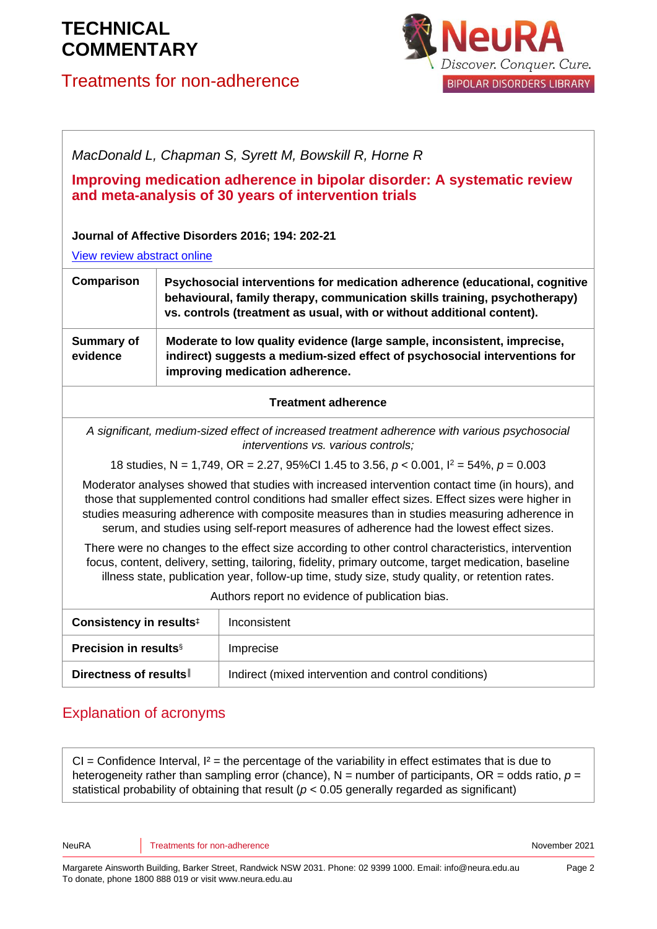## Treatments for non-adherence

*MacDonald L, Chapman S, Syrett M, Bowskill R, Horne R* 



| Improving medication adherence in bipolar disorder: A systematic review<br>and meta-analysis of 30 years of intervention trials                                                                                                                                                                                                                                                              |                                                                                                                                                                                           |                                                                                                                                                                                                                                     |
|----------------------------------------------------------------------------------------------------------------------------------------------------------------------------------------------------------------------------------------------------------------------------------------------------------------------------------------------------------------------------------------------|-------------------------------------------------------------------------------------------------------------------------------------------------------------------------------------------|-------------------------------------------------------------------------------------------------------------------------------------------------------------------------------------------------------------------------------------|
|                                                                                                                                                                                                                                                                                                                                                                                              |                                                                                                                                                                                           | Journal of Affective Disorders 2016; 194: 202-21                                                                                                                                                                                    |
| View review abstract online                                                                                                                                                                                                                                                                                                                                                                  |                                                                                                                                                                                           |                                                                                                                                                                                                                                     |
| Comparison                                                                                                                                                                                                                                                                                                                                                                                   |                                                                                                                                                                                           | Psychosocial interventions for medication adherence (educational, cognitive<br>behavioural, family therapy, communication skills training, psychotherapy)<br>vs. controls (treatment as usual, with or without additional content). |
| <b>Summary of</b><br>evidence                                                                                                                                                                                                                                                                                                                                                                | Moderate to low quality evidence (large sample, inconsistent, imprecise,<br>indirect) suggests a medium-sized effect of psychosocial interventions for<br>improving medication adherence. |                                                                                                                                                                                                                                     |
| <b>Treatment adherence</b>                                                                                                                                                                                                                                                                                                                                                                   |                                                                                                                                                                                           |                                                                                                                                                                                                                                     |
| A significant, medium-sized effect of increased treatment adherence with various psychosocial<br>interventions vs. various controls;                                                                                                                                                                                                                                                         |                                                                                                                                                                                           |                                                                                                                                                                                                                                     |
| 18 studies, N = 1,749, OR = 2.27, 95%CI 1.45 to 3.56, $p < 0.001$ , $I^2 = 54\%$ , $p = 0.003$                                                                                                                                                                                                                                                                                               |                                                                                                                                                                                           |                                                                                                                                                                                                                                     |
| Moderator analyses showed that studies with increased intervention contact time (in hours), and<br>those that supplemented control conditions had smaller effect sizes. Effect sizes were higher in<br>studies measuring adherence with composite measures than in studies measuring adherence in<br>serum, and studies using self-report measures of adherence had the lowest effect sizes. |                                                                                                                                                                                           |                                                                                                                                                                                                                                     |
| There were no changes to the effect size according to other control characteristics, intervention<br>focus, content, delivery, setting, tailoring, fidelity, primary outcome, target medication, baseline<br>illness state, publication year, follow-up time, study size, study quality, or retention rates.                                                                                 |                                                                                                                                                                                           |                                                                                                                                                                                                                                     |
| Authors report no evidence of publication bias.                                                                                                                                                                                                                                                                                                                                              |                                                                                                                                                                                           |                                                                                                                                                                                                                                     |
| Consistency in results <sup>#</sup>                                                                                                                                                                                                                                                                                                                                                          |                                                                                                                                                                                           | Inconsistent                                                                                                                                                                                                                        |
| <b>Precision in results</b> §                                                                                                                                                                                                                                                                                                                                                                |                                                                                                                                                                                           | Imprecise                                                                                                                                                                                                                           |
| Directness of results                                                                                                                                                                                                                                                                                                                                                                        |                                                                                                                                                                                           | Indirect (mixed intervention and control conditions)                                                                                                                                                                                |

## Explanation of acronyms

 $CI =$  Confidence Interval,  $I^2 =$  the percentage of the variability in effect estimates that is due to heterogeneity rather than sampling error (chance),  $N =$  number of participants,  $OR =$  odds ratio,  $p =$ statistical probability of obtaining that result (*p* < 0.05 generally regarded as significant)

NeuRA **Treatments for non-adherence** November 2021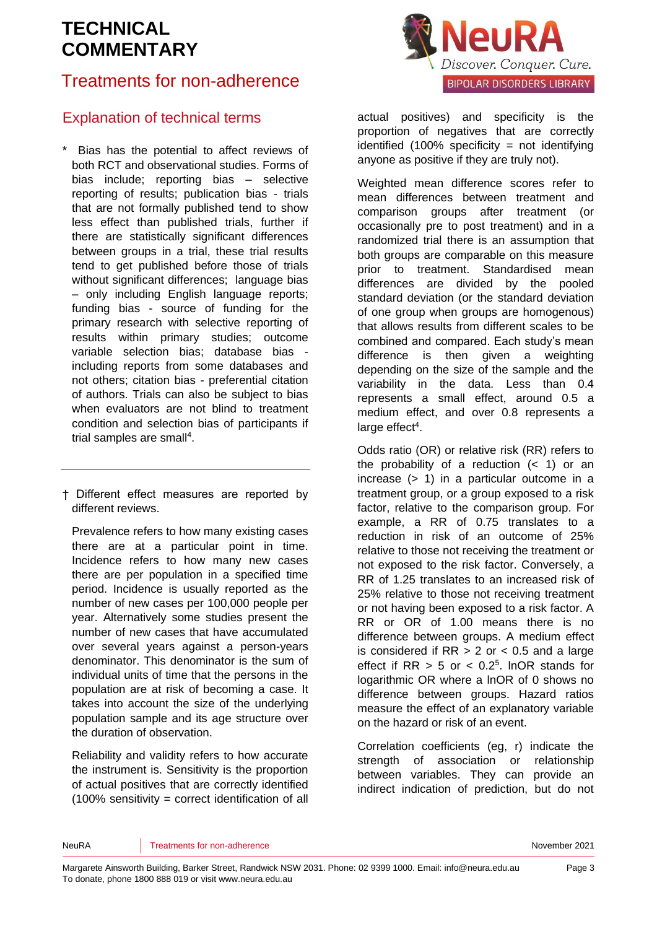## Treatments for non-adherence

#### Explanation of technical terms

Bias has the potential to affect reviews of both RCT and observational studies. Forms of bias include; reporting bias – selective reporting of results; publication bias - trials that are not formally published tend to show less effect than published trials, further if there are statistically significant differences between groups in a trial, these trial results tend to get published before those of trials without significant differences; language bias – only including English language reports; funding bias - source of funding for the primary research with selective reporting of results within primary studies; outcome variable selection bias; database bias including reports from some databases and not others; citation bias - preferential citation of authors. Trials can also be subject to bias when evaluators are not blind to treatment condition and selection bias of participants if trial samples are sma[ll](#page-4-3)<sup>4</sup>.

† Different effect measures are reported by different reviews.

Prevalence refers to how many existing cases there are at a particular point in time. Incidence refers to how many new cases there are per population in a specified time period. Incidence is usually reported as the number of new cases per 100,000 people per year. Alternatively some studies present the number of new cases that have accumulated over several years against a person-years denominator. This denominator is the sum of individual units of time that the persons in the population are at risk of becoming a case. It takes into account the size of the underlying population sample and its age structure over the duration of observation.

Reliability and validity refers to how accurate the instrument is. Sensitivity is the proportion of actual positives that are correctly identified (100% sensitivity = correct identification of all



actual positives) and specificity is the proportion of negatives that are correctly identified  $(100\%$  specificity = not identifying anyone as positive if they are truly not).

Weighted mean difference scores refer to mean differences between treatment and comparison groups after treatment (or occasionally pre to post treatment) and in a randomized trial there is an assumption that both groups are comparable on this measure prior to treatment. Standardised mean differences are divided by the pooled standard deviation (or the standard deviation of one group when groups are homogenous) that allows results from different scales to be combined and compared. Each study's mean difference is then given a weighting depending on the size of the sample and the variability in the data. Less than 0.4 represents a small effect, around 0.5 a medium effect, and over 0.8 represents a large effect<sup>[4](#page-4-3)</sup>.

Odds ratio (OR) or relative risk (RR) refers to the probability of a reduction  $( $1$ )$  or an increase (> 1) in a particular outcome in a treatment group, or a group exposed to a risk factor, relative to the comparison group. For example, a RR of 0.75 translates to a reduction in risk of an outcome of 25% relative to those not receiving the treatment or not exposed to the risk factor. Conversely, a RR of 1.25 translates to an increased risk of 25% relative to those not receiving treatment or not having been exposed to a risk factor. A RR or OR of 1.00 means there is no difference between groups. A medium effect is considered if  $RR > 2$  or  $< 0.5$  and a large effect if  $RR > 5$  or  $< 0.2<sup>5</sup>$  $< 0.2<sup>5</sup>$  $< 0.2<sup>5</sup>$ . InOR stands for logarithmic OR where a lnOR of 0 shows no difference between groups. Hazard ratios measure the effect of an explanatory variable on the hazard or risk of an event.

Correlation coefficients (eg, r) indicate the strength of association or relationship between variables. They can provide an indirect indication of prediction, but do not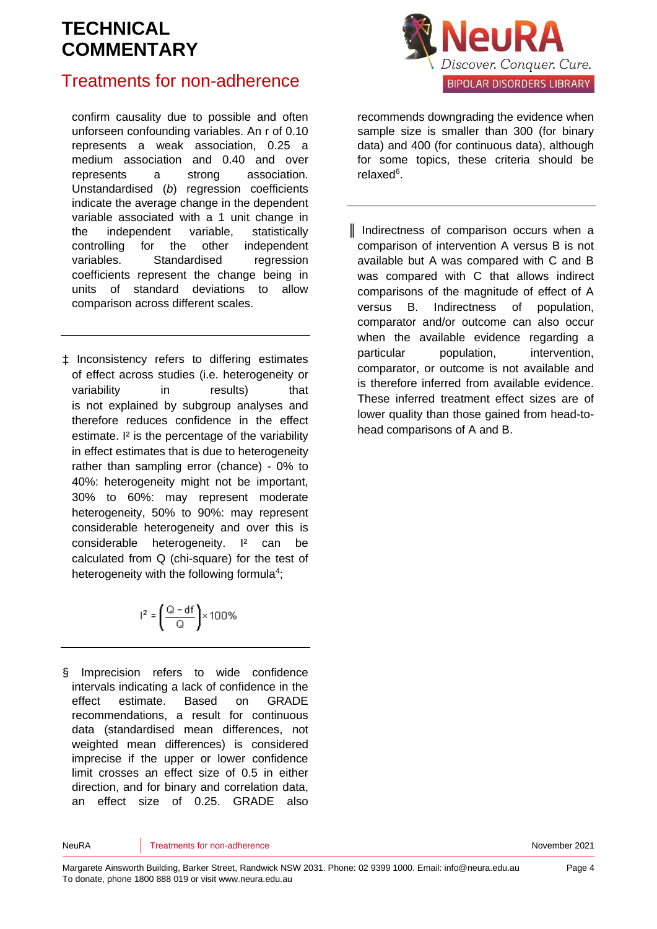## Treatments for non-adherence

confirm causality due to possible and often unforseen confounding variables. An r of 0.10 represents a weak association, 0.25 a medium association and 0.40 and over represents a strong association. Unstandardised (*b*) regression coefficients indicate the average change in the dependent variable associated with a 1 unit change in the independent variable, statistically controlling for the other independent variables. Standardised regression coefficients represent the change being in units of standard deviations to allow comparison across different scales.

‡ Inconsistency refers to differing estimates of effect across studies (i.e. heterogeneity or variability in results) that is not explained by subgroup analyses and therefore reduces confidence in the effect estimate. I² is the percentage of the variability in effect estimates that is due to heterogeneity rather than sampling error (chance) - 0% to 40%: heterogeneity might not be important, 30% to 60%: may represent moderate heterogeneity, 50% to 90%: may represent considerable heterogeneity and over this is considerable heterogeneity. I² can be calculated from Q (chi-square) for the test of heterogeneity with the following formul[a](#page-4-3)<sup>4</sup>;

$$
r^2 = \left(\frac{Q - df}{Q}\right) \times 100\%
$$

§ Imprecision refers to wide confidence intervals indicating a lack of confidence in the effect estimate. Based on GRADE recommendations, a result for continuous data (standardised mean differences, not weighted mean differences) is considered imprecise if the upper or lower confidence limit crosses an effect size of 0.5 in either direction, and for binary and correlation data, an effect size of 0.25. GRADE also



recommends downgrading the evidence when sample size is smaller than 300 (for binary data) and 400 (for continuous data), although for some topics, these criteria should be relaxe[d](#page-4-5)<sup>6</sup>.

║ Indirectness of comparison occurs when a comparison of intervention A versus B is not available but A was compared with C and B was compared with C that allows indirect comparisons of the magnitude of effect of A versus B. Indirectness of population, comparator and/or outcome can also occur when the available evidence regarding a particular population, intervention, comparator, or outcome is not available and is therefore inferred from available evidence. These inferred treatment effect sizes are of lower quality than those gained from head-tohead comparisons of A and B.

NeuRA **Treatments for non-adherence** November 2021 **November 2021**